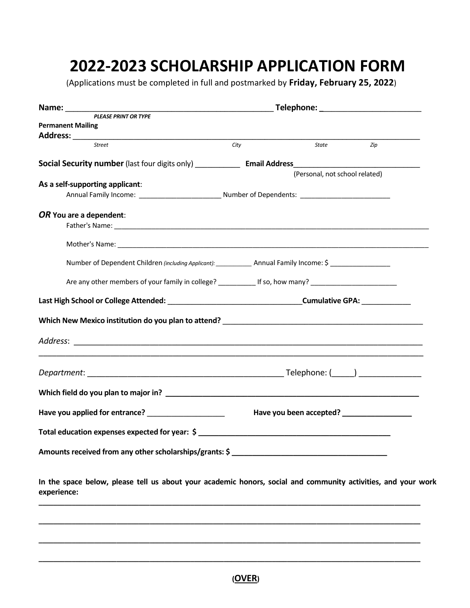## **2022-2023 SCHOLARSHIP APPLICATION FORM**

(Applications must be completed in full and postmarked by **Friday, February 25, 2022**)

| State<br>City<br>Zip<br>(Personal, not school related)<br>Number of Dependent Children (including Applicant): _____________ Annual Family Income: \$ ________________<br>Are any other members of your family in college? ____________ If so, how many? _______________________________ |                                                                                                                                                                                                                                                                                                                                                                                                                                                                                 |
|-----------------------------------------------------------------------------------------------------------------------------------------------------------------------------------------------------------------------------------------------------------------------------------------|---------------------------------------------------------------------------------------------------------------------------------------------------------------------------------------------------------------------------------------------------------------------------------------------------------------------------------------------------------------------------------------------------------------------------------------------------------------------------------|
|                                                                                                                                                                                                                                                                                         |                                                                                                                                                                                                                                                                                                                                                                                                                                                                                 |
|                                                                                                                                                                                                                                                                                         |                                                                                                                                                                                                                                                                                                                                                                                                                                                                                 |
|                                                                                                                                                                                                                                                                                         |                                                                                                                                                                                                                                                                                                                                                                                                                                                                                 |
|                                                                                                                                                                                                                                                                                         |                                                                                                                                                                                                                                                                                                                                                                                                                                                                                 |
|                                                                                                                                                                                                                                                                                         |                                                                                                                                                                                                                                                                                                                                                                                                                                                                                 |
|                                                                                                                                                                                                                                                                                         |                                                                                                                                                                                                                                                                                                                                                                                                                                                                                 |
|                                                                                                                                                                                                                                                                                         |                                                                                                                                                                                                                                                                                                                                                                                                                                                                                 |
|                                                                                                                                                                                                                                                                                         |                                                                                                                                                                                                                                                                                                                                                                                                                                                                                 |
|                                                                                                                                                                                                                                                                                         |                                                                                                                                                                                                                                                                                                                                                                                                                                                                                 |
|                                                                                                                                                                                                                                                                                         |                                                                                                                                                                                                                                                                                                                                                                                                                                                                                 |
|                                                                                                                                                                                                                                                                                         |                                                                                                                                                                                                                                                                                                                                                                                                                                                                                 |
|                                                                                                                                                                                                                                                                                         |                                                                                                                                                                                                                                                                                                                                                                                                                                                                                 |
|                                                                                                                                                                                                                                                                                         |                                                                                                                                                                                                                                                                                                                                                                                                                                                                                 |
|                                                                                                                                                                                                                                                                                         |                                                                                                                                                                                                                                                                                                                                                                                                                                                                                 |
| Have you been accepted? __________________                                                                                                                                                                                                                                              |                                                                                                                                                                                                                                                                                                                                                                                                                                                                                 |
|                                                                                                                                                                                                                                                                                         |                                                                                                                                                                                                                                                                                                                                                                                                                                                                                 |
|                                                                                                                                                                                                                                                                                         |                                                                                                                                                                                                                                                                                                                                                                                                                                                                                 |
|                                                                                                                                                                                                                                                                                         |                                                                                                                                                                                                                                                                                                                                                                                                                                                                                 |
|                                                                                                                                                                                                                                                                                         | Have you applied for entrance?<br><u> and the manual contrant of the manual contract of the manual contract of the manual contract of the manual contract of the manual contract of the manual contract of the manual contract of </u><br>Total education expenses expected for year: $\frac{2}{3}$<br>Amounts received from any other scholarships/grants: \$<br>In the space below, please tell us about your academic honors, social and community activities, and your work |

**\_\_\_\_\_\_\_\_\_\_\_\_\_\_\_\_\_\_\_\_\_\_\_\_\_\_\_\_\_\_\_\_\_\_\_\_\_\_\_\_\_\_\_\_\_\_\_\_\_\_\_\_\_\_\_\_\_\_\_\_\_\_\_\_\_\_\_\_\_\_\_\_\_\_\_\_\_\_\_\_\_\_\_\_\_\_\_\_\_\_\_\_\_\_\_\_\_\_\_\_\_\_\_**

**\_\_\_\_\_\_\_\_\_\_\_\_\_\_\_\_\_\_\_\_\_\_\_\_\_\_\_\_\_\_\_\_\_\_\_\_\_\_\_\_\_\_\_\_\_\_\_\_\_\_\_\_\_\_\_\_\_\_\_\_\_\_\_\_\_\_\_\_\_\_\_\_\_\_\_\_\_\_\_\_\_\_\_\_\_\_\_\_\_\_\_\_\_\_\_\_\_\_\_\_\_\_\_**